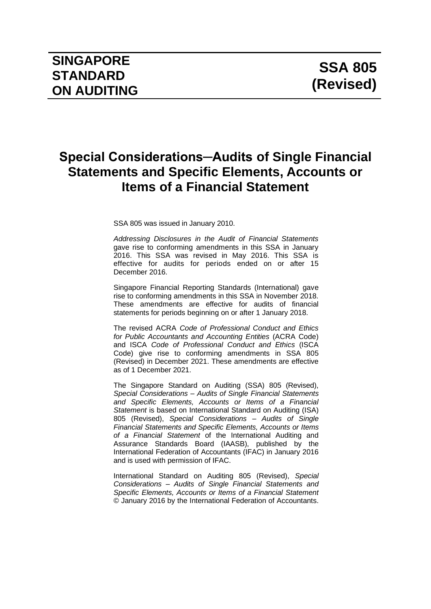# **Special Considerations─Audits of Single Financial Statements and Specific Elements, Accounts or Items of a Financial Statement**

SSA 805 was issued in January 2010.

*Addressing Disclosures in the Audit of Financial Statements* gave rise to conforming amendments in this SSA in January 2016. This SSA was revised in May 2016. This SSA is effective for audits for periods ended on or after 15 December 2016.

Singapore Financial Reporting Standards (International) gave rise to conforming amendments in this SSA in November 2018. These amendments are effective for audits of financial statements for periods beginning on or after 1 January 2018.

The revised ACRA *Code of Professional Conduct and Ethics for Public Accountants and Accounting Entities* (ACRA Code) and ISCA *Code of Professional Conduct and Ethics* (ISCA Code) give rise to conforming amendments in SSA 805 (Revised) in December 2021. These amendments are effective as of 1 December 2021.

The Singapore Standard on Auditing (SSA) 805 (Revised), *Special Considerations – Audits of Single Financial Statements and Specific Elements, Accounts or Items of a Financial Statement* is based on International Standard on Auditing (ISA) 805 (Revised), *Special Considerations – Audits of Single Financial Statements and Specific Elements, Accounts or Items of a Financial Statement* of the International Auditing and Assurance Standards Board (IAASB), published by the International Federation of Accountants (IFAC) in January 2016 and is used with permission of IFAC.

International Standard on Auditing 805 (Revised), *Special Considerations – Audits of Single Financial Statements and Specific Elements, Accounts or Items of a Financial Statement* © January 2016 by the International Federation of Accountants.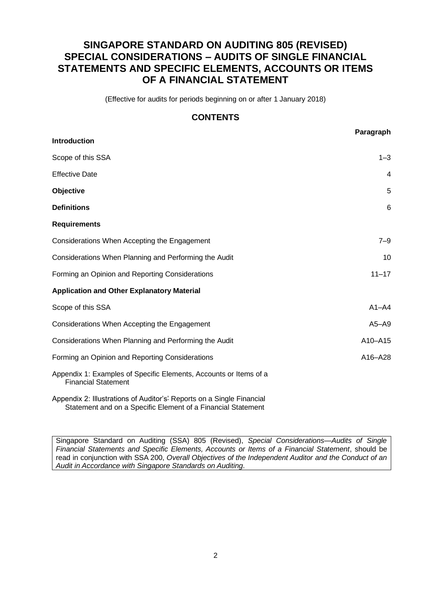# **SINGAPORE STANDARD ON AUDITING 805 (REVISED) SPECIAL CONSIDERATIONS – AUDITS OF SINGLE FINANCIAL STATEMENTS AND SPECIFIC ELEMENTS, ACCOUNTS OR ITEMS OF A FINANCIAL STATEMENT**

(Effective for audits for periods beginning on or after 1 January 2018)

### **CONTENTS**

**Paragraph**

| <b>Introduction</b>                                                                                                                   |                |
|---------------------------------------------------------------------------------------------------------------------------------------|----------------|
| Scope of this SSA                                                                                                                     | $1 - 3$        |
| <b>Effective Date</b>                                                                                                                 | $\overline{4}$ |
| <b>Objective</b>                                                                                                                      | 5              |
| <b>Definitions</b>                                                                                                                    | 6              |
| <b>Requirements</b>                                                                                                                   |                |
| Considerations When Accepting the Engagement                                                                                          | $7 - 9$        |
| Considerations When Planning and Performing the Audit                                                                                 | 10             |
| Forming an Opinion and Reporting Considerations                                                                                       | $11 - 17$      |
| <b>Application and Other Explanatory Material</b>                                                                                     |                |
| Scope of this SSA                                                                                                                     | $A1 - A4$      |
| Considerations When Accepting the Engagement                                                                                          | $A5 - A9$      |
| Considerations When Planning and Performing the Audit                                                                                 | A10-A15        |
| Forming an Opinion and Reporting Considerations                                                                                       | A16-A28        |
| Appendix 1: Examples of Specific Elements, Accounts or Items of a<br><b>Financial Statement</b>                                       |                |
| Appendix 2: Illustrations of Auditor's' Reports on a Single Financial<br>Statement and on a Specific Element of a Financial Statement |                |

Singapore Standard on Auditing (SSA) 805 (Revised), *Special Considerations—Audits of Single Financial Statements and Specific Elements, Accounts or Items of a Financial Statement*, should be read in conjunction with SSA 200, *Overall Objectives of the Independent Auditor and the Conduct of an Audit in Accordance with Singapore Standards on Auditing*.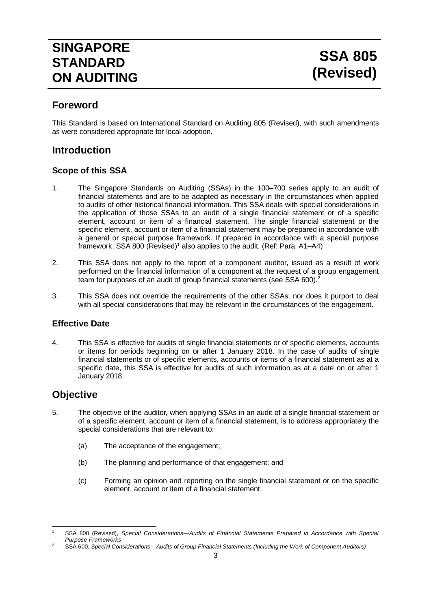# **SINGAPORE STANDARD ON AUDITING**

# **Foreword**

This Standard is based on International Standard on Auditing 805 (Revised), with such amendments as were considered appropriate for local adoption.

# **Introduction**

## **Scope of this SSA**

- 1. The Singapore Standards on Auditing (SSAs) in the 100–700 series apply to an audit of financial statements and are to be adapted as necessary in the circumstances when applied to audits of other historical financial information. This SSA deals with special considerations in the application of those SSAs to an audit of a single financial statement or of a specific element, account or item of a financial statement. The single financial statement or the specific element, account or item of a financial statement may be prepared in accordance with a general or special purpose framework. If prepared in accordance with a special purpose framework, SSA 800 (Revised)<sup>1</sup> also applies to the audit. (Ref: Para. A1–A4)
- 2. This SSA does not apply to the report of a component auditor, issued as a result of work performed on the financial information of a component at the request of a group engagement team for purposes of an audit of group financial statements (see SSA 600).<sup>2</sup>
- 3. This SSA does not override the requirements of the other SSAs; nor does it purport to deal with all special considerations that may be relevant in the circumstances of the engagement.

### **Effective Date**

4. This SSA is effective for audits of single financial statements or of specific elements, accounts or items for periods beginning on or after 1 January 2018. In the case of audits of single financial statements or of specific elements, accounts or items of a financial statement as at a specific date, this SSA is effective for audits of such information as at a date on or after 1 January 2018.

# **Objective**

- 5. The objective of the auditor, when applying SSAs in an audit of a single financial statement or of a specific element, account or item of a financial statement, is to address appropriately the special considerations that are relevant to:
	- (a) The acceptance of the engagement;
	- (b) The planning and performance of that engagement; and
	- (c) Forming an opinion and reporting on the single financial statement or on the specific element, account or item of a financial statement.

<sup>1</sup> SSA 800 (Revised), *Special Considerations—Audits of Financial Statements Prepared in Accordance with Special Purpose Frameworks*

<sup>2</sup> SSA 600, *Special Considerations—Audits of Group Financial Statements (Including the Work of Component Auditors)*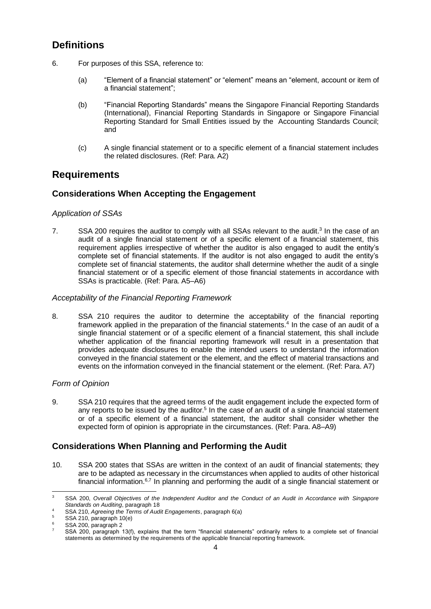# **Definitions**

- 6. For purposes of this SSA, reference to:
	- (a) "Element of a financial statement" or "element" means an "element, account or item of a financial statement";
	- (b) "Financial Reporting Standards" means the Singapore Financial Reporting Standards (International), Financial Reporting Standards in Singapore or Singapore Financial Reporting Standard for Small Entities issued by the Accounting Standards Council; and
	- (c) A single financial statement or to a specific element of a financial statement includes the related disclosures. (Ref: Para. A2)

# **Requirements**

### **Considerations When Accepting the Engagement**

#### *Application of SSAs*

7. SSA 200 requires the auditor to comply with all SSAs relevant to the audit.<sup>3</sup> In the case of an audit of a single financial statement or of a specific element of a financial statement, this requirement applies irrespective of whether the auditor is also engaged to audit the entity's complete set of financial statements. If the auditor is not also engaged to audit the entity's complete set of financial statements, the auditor shall determine whether the audit of a single financial statement or of a specific element of those financial statements in accordance with SSAs is practicable. (Ref: Para. A5–A6)

#### *Acceptability of the Financial Reporting Framework*

8. SSA 210 requires the auditor to determine the acceptability of the financial reporting framework applied in the preparation of the financial statements.<sup>4</sup> In the case of an audit of a single financial statement or of a specific element of a financial statement, this shall include whether application of the financial reporting framework will result in a presentation that provides adequate disclosures to enable the intended users to understand the information conveyed in the financial statement or the element, and the effect of material transactions and events on the information conveyed in the financial statement or the element. (Ref: Para. A7)

#### *Form of Opinion*

9. SSA 210 requires that the agreed terms of the audit engagement include the expected form of any reports to be issued by the auditor.<sup>5</sup> In the case of an audit of a single financial statement or of a specific element of a financial statement, the auditor shall consider whether the expected form of opinion is appropriate in the circumstances. (Ref: Para. A8–A9)

### **Considerations When Planning and Performing the Audit**

10. SSA 200 states that SSAs are written in the context of an audit of financial statements; they are to be adapted as necessary in the circumstances when applied to audits of other historical financial information.<sup>6,7</sup> In planning and performing the audit of a single financial statement or

<sup>3</sup> SSA 200, *Overall Objectives of the Independent Auditor and the Conduct of an Audit in Accordance with Singapore Standards on Auditing*, paragraph 18

<sup>4</sup> SSA 210, *Agreeing the Terms of Audit Engagements*, paragraph 6(a)

 $5$  SSA 210, paragraph 10(e)

SSA 200, paragraph 2

<sup>7</sup> SSA 200, paragraph 13(f), explains that the term "financial statements" ordinarily refers to a complete set of financial statements as determined by the requirements of the applicable financial reporting framework.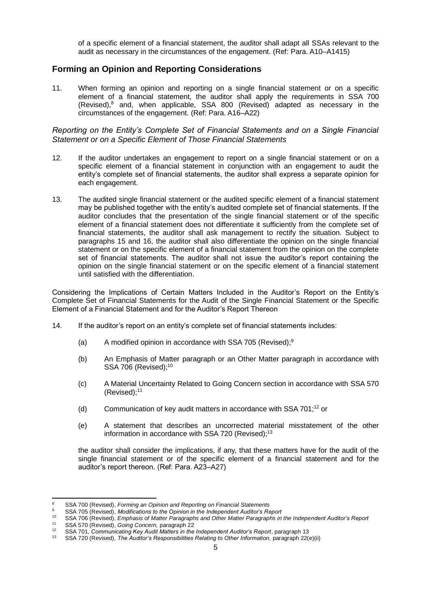of a specific element of a financial statement, the auditor shall adapt all SSAs relevant to the audit as necessary in the circumstances of the engagement. (Ref: Para. A10–A1415)

### **Forming an Opinion and Reporting Considerations**

11. When forming an opinion and reporting on a single financial statement or on a specific element of a financial statement, the auditor shall apply the requirements in SSA 700  $(Revised)$ ,  $8$  and, when applicable, SSA 800  $(Revised)$  adapted as necessary in the circumstances of the engagement. (Ref: Para. A16–A22)

*Reporting on the Entity's Complete Set of Financial Statements and on a Single Financial Statement or on a Specific Element of Those Financial Statements*

- 12. If the auditor undertakes an engagement to report on a single financial statement or on a specific element of a financial statement in conjunction with an engagement to audit the entity's complete set of financial statements, the auditor shall express a separate opinion for each engagement.
- 13. The audited single financial statement or the audited specific element of a financial statement may be published together with the entity's audited complete set of financial statements. If the auditor concludes that the presentation of the single financial statement or of the specific element of a financial statement does not differentiate it sufficiently from the complete set of financial statements, the auditor shall ask management to rectify the situation. Subject to paragraphs 15 and 16, the auditor shall also differentiate the opinion on the single financial statement or on the specific element of a financial statement from the opinion on the complete set of financial statements. The auditor shall not issue the auditor's report containing the opinion on the single financial statement or on the specific element of a financial statement until satisfied with the differentiation.

Considering the Implications of Certain Matters Included in the Auditor's Report on the Entity's Complete Set of Financial Statements for the Audit of the Single Financial Statement or the Specific Element of a Financial Statement and for the Auditor's Report Thereon

- 14. If the auditor's report on an entity's complete set of financial statements includes:
	- (a) A modified opinion in accordance with SSA 705 (Revised); $9$
	- (b) An Emphasis of Matter paragraph or an Other Matter paragraph in accordance with SSA 706 (Revised); 10
	- (c) A Material Uncertainty Related to Going Concern section in accordance with SSA 570 (Revised);<sup>11</sup>
	- (d) Communication of key audit matters in accordance with SSA 701;<sup>12</sup> or
	- (e) A statement that describes an uncorrected material misstatement of the other information in accordance with SSA 720 (Revised);<sup>13</sup>

the auditor shall consider the implications, if any, that these matters have for the audit of the single financial statement or of the specific element of a financial statement and for the auditor's report thereon. (Ref: Para. A23–A27)

<sup>8</sup> SSA 700 (Revised), *Forming an Opinion and Reporting on Financial Statements*<br>8 SSA 705 (Revised), *Medification* to the Opinion in the Independent Auditoria Re

<sup>9</sup> SSA 705 (Revised), *Modifications to the Opinion in the Independent Auditor's Report*

<sup>10</sup> SSA 706 (Revised), *Emphasis of Matter Paragraphs and Other Matter Paragraphs in the Independent Auditor's Report*

<sup>11</sup> SSA 570 (Revised), *Going Concern,* paragraph 22

<sup>12</sup> SSA 701, *Communicating Key Audit Matters in the Independent Auditor's Report*, paragraph 13

<sup>13</sup> SSA 720 (Revised), *The Auditor's Responsibilities Relating to Other Information,* paragraph 22(e)(ii)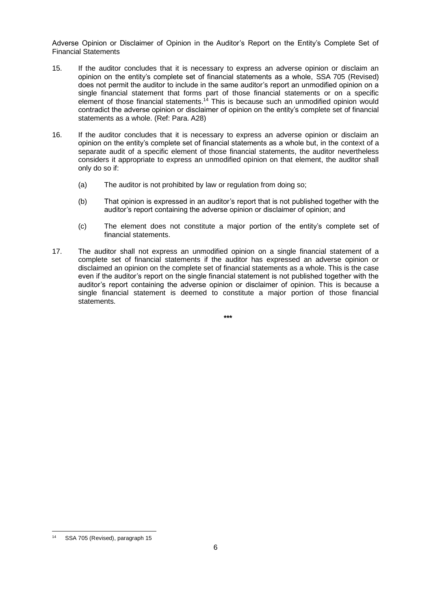Adverse Opinion or Disclaimer of Opinion in the Auditor's Report on the Entity's Complete Set of Financial Statements

- 15. If the auditor concludes that it is necessary to express an adverse opinion or disclaim an opinion on the entity's complete set of financial statements as a whole, SSA 705 (Revised) does not permit the auditor to include in the same auditor's report an unmodified opinion on a single financial statement that forms part of those financial statements or on a specific element of those financial statements.<sup>14</sup> This is because such an unmodified opinion would contradict the adverse opinion or disclaimer of opinion on the entity's complete set of financial statements as a whole. (Ref: Para. A28)
- 16. If the auditor concludes that it is necessary to express an adverse opinion or disclaim an opinion on the entity's complete set of financial statements as a whole but, in the context of a separate audit of a specific element of those financial statements, the auditor nevertheless considers it appropriate to express an unmodified opinion on that element, the auditor shall only do so if:
	- (a) The auditor is not prohibited by law or regulation from doing so;
	- (b) That opinion is expressed in an auditor's report that is not published together with the auditor's report containing the adverse opinion or disclaimer of opinion; and
	- (c) The element does not constitute a major portion of the entity's complete set of financial statements.
- 17. The auditor shall not express an unmodified opinion on a single financial statement of a complete set of financial statements if the auditor has expressed an adverse opinion or disclaimed an opinion on the complete set of financial statements as a whole. This is the case even if the auditor's report on the single financial statement is not published together with the auditor's report containing the adverse opinion or disclaimer of opinion. This is because a single financial statement is deemed to constitute a major portion of those financial statements.

**\*\*\***

SSA 705 (Revised), paragraph 15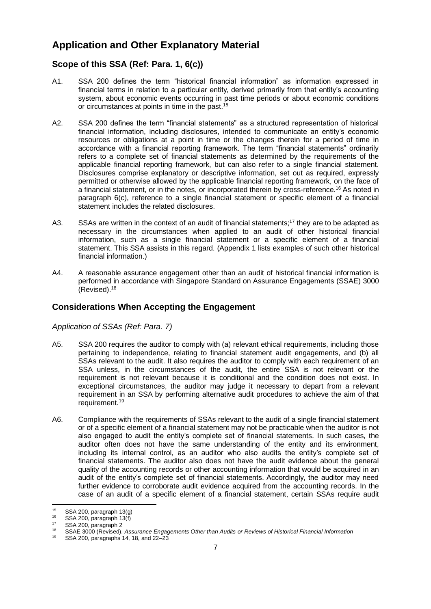# **Application and Other Explanatory Material**

## **Scope of this SSA (Ref: Para. 1, 6(c))**

- A1. SSA 200 defines the term "historical financial information" as information expressed in financial terms in relation to a particular entity, derived primarily from that entity's accounting system, about economic events occurring in past time periods or about economic conditions or circumstances at points in time in the past.<sup>15</sup>
- A2. SSA 200 defines the term "financial statements" as a structured representation of historical financial information, including disclosures, intended to communicate an entity's economic resources or obligations at a point in time or the changes therein for a period of time in accordance with a financial reporting framework. The term "financial statements" ordinarily refers to a complete set of financial statements as determined by the requirements of the applicable financial reporting framework, but can also refer to a single financial statement. Disclosures comprise explanatory or descriptive information, set out as required, expressly permitted or otherwise allowed by the applicable financial reporting framework, on the face of a financial statement, or in the notes, or incorporated therein by cross-reference.<sup>16</sup> As noted in paragraph 6(c), reference to a single financial statement or specific element of a financial statement includes the related disclosures.
- A3. SSAs are written in the context of an audit of financial statements;<sup>17</sup> they are to be adapted as necessary in the circumstances when applied to an audit of other historical financial information, such as a single financial statement or a specific element of a financial statement. This SSA assists in this regard. (Appendix 1 lists examples of such other historical financial information.)
- A4. A reasonable assurance engagement other than an audit of historical financial information is performed in accordance with Singapore Standard on Assurance Engagements (SSAE) 3000 (Revised).<sup>18</sup>

### **Considerations When Accepting the Engagement**

#### *Application of SSAs (Ref: Para. 7)*

- A5. SSA 200 requires the auditor to comply with (a) relevant ethical requirements, including those pertaining to independence, relating to financial statement audit engagements, and (b) all SSAs relevant to the audit. It also requires the auditor to comply with each requirement of an SSA unless, in the circumstances of the audit, the entire SSA is not relevant or the requirement is not relevant because it is conditional and the condition does not exist. In exceptional circumstances, the auditor may judge it necessary to depart from a relevant requirement in an SSA by performing alternative audit procedures to achieve the aim of that requirement.<sup>19</sup>
- A6. Compliance with the requirements of SSAs relevant to the audit of a single financial statement or of a specific element of a financial statement may not be practicable when the auditor is not also engaged to audit the entity's complete set of financial statements. In such cases, the auditor often does not have the same understanding of the entity and its environment, including its internal control, as an auditor who also audits the entity's complete set of financial statements. The auditor also does not have the audit evidence about the general quality of the accounting records or other accounting information that would be acquired in an audit of the entity's complete set of financial statements. Accordingly, the auditor may need further evidence to corroborate audit evidence acquired from the accounting records. In the case of an audit of a specific element of a financial statement, certain SSAs require audit

<sup>&</sup>lt;sup>15</sup> SSA 200, paragraph 13(g)

<sup>&</sup>lt;sup>16</sup> SSA 200, paragraph 13(f)

 $^{17}$  SSA 200, paragraph 2

<sup>18</sup> SSAE 3000 (Revised), *Assurance Engagements Other than Audits or Reviews of Historical Financial Information*

SSA 200, paragraphs 14, 18, and 22–23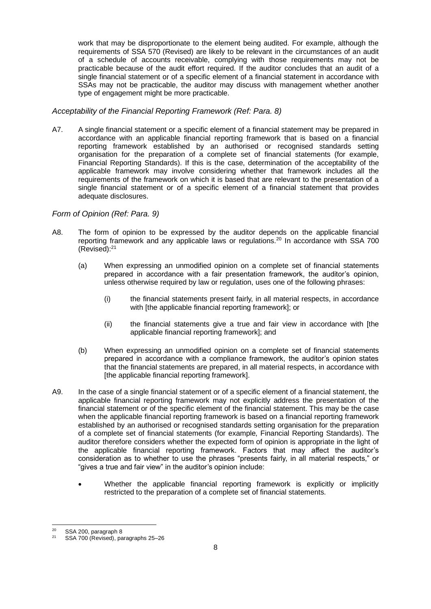work that may be disproportionate to the element being audited. For example, although the requirements of SSA 570 (Revised) are likely to be relevant in the circumstances of an audit of a schedule of accounts receivable, complying with those requirements may not be practicable because of the audit effort required. If the auditor concludes that an audit of a single financial statement or of a specific element of a financial statement in accordance with SSAs may not be practicable, the auditor may discuss with management whether another type of engagement might be more practicable.

#### *Acceptability of the Financial Reporting Framework (Ref: Para. 8)*

A7. A single financial statement or a specific element of a financial statement may be prepared in accordance with an applicable financial reporting framework that is based on a financial reporting framework established by an authorised or recognised standards setting organisation for the preparation of a complete set of financial statements (for example, Financial Reporting Standards). If this is the case, determination of the acceptability of the applicable framework may involve considering whether that framework includes all the requirements of the framework on which it is based that are relevant to the presentation of a single financial statement or of a specific element of a financial statement that provides adequate disclosures.

#### *Form of Opinion (Ref: Para. 9)*

- A8. The form of opinion to be expressed by the auditor depends on the applicable financial reporting framework and any applicable laws or regulations.<sup>20</sup> In accordance with SSA 700 (Revised):<sup>21</sup>
	- (a) When expressing an unmodified opinion on a complete set of financial statements prepared in accordance with a fair presentation framework, the auditor's opinion, unless otherwise required by law or regulation, uses one of the following phrases:
		- (i) the financial statements present fairly, in all material respects, in accordance with [the applicable financial reporting framework]; or
		- (ii) the financial statements give a true and fair view in accordance with [the applicable financial reporting framework]; and
	- (b) When expressing an unmodified opinion on a complete set of financial statements prepared in accordance with a compliance framework, the auditor's opinion states that the financial statements are prepared, in all material respects, in accordance with [the applicable financial reporting framework].
- A9. In the case of a single financial statement or of a specific element of a financial statement, the applicable financial reporting framework may not explicitly address the presentation of the financial statement or of the specific element of the financial statement. This may be the case when the applicable financial reporting framework is based on a financial reporting framework established by an authorised or recognised standards setting organisation for the preparation of a complete set of financial statements (for example, Financial Reporting Standards). The auditor therefore considers whether the expected form of opinion is appropriate in the light of the applicable financial reporting framework. Factors that may affect the auditor's consideration as to whether to use the phrases "presents fairly, in all material respects," or "gives a true and fair view" in the auditor's opinion include:
	- Whether the applicable financial reporting framework is explicitly or implicitly restricted to the preparation of a complete set of financial statements.

 $^{20}$  SSA 200, paragraph 8

SSA 700 (Revised), paragraphs 25–26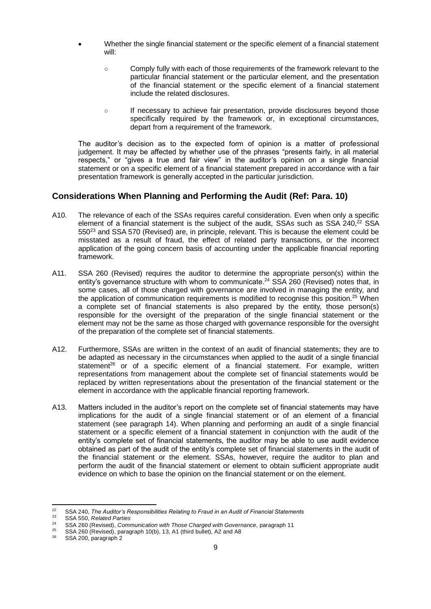- Whether the single financial statement or the specific element of a financial statement will:
	- Comply fully with each of those requirements of the framework relevant to the particular financial statement or the particular element, and the presentation of the financial statement or the specific element of a financial statement include the related disclosures.
	- If necessary to achieve fair presentation, provide disclosures beyond those specifically required by the framework or, in exceptional circumstances, depart from a requirement of the framework.

The auditor's decision as to the expected form of opinion is a matter of professional judgement. It may be affected by whether use of the phrases "presents fairly, in all material respects," or "gives a true and fair view" in the auditor's opinion on a single financial statement or on a specific element of a financial statement prepared in accordance with a fair presentation framework is generally accepted in the particular jurisdiction.

### **Considerations When Planning and Performing the Audit (Ref: Para. 10)**

- A10. The relevance of each of the SSAs requires careful consideration. Even when only a specific element of a financial statement is the subject of the audit, SSAs such as SSA  $240$ , $22$  SSA 550<sup>23</sup> and SSA 570 (Revised) are, in principle, relevant. This is because the element could be misstated as a result of fraud, the effect of related party transactions, or the incorrect application of the going concern basis of accounting under the applicable financial reporting framework.
- A11. SSA 260 (Revised) requires the auditor to determine the appropriate person(s) within the entity's governance structure with whom to communicate.<sup>24</sup> SSA 260 (Revised) notes that, in some cases, all of those charged with governance are involved in managing the entity, and the application of communication requirements is modified to recognise this position.<sup>25</sup> When a complete set of financial statements is also prepared by the entity, those person(s) responsible for the oversight of the preparation of the single financial statement or the element may not be the same as those charged with governance responsible for the oversight of the preparation of the complete set of financial statements.
- A12. Furthermore, SSAs are written in the context of an audit of financial statements; they are to be adapted as necessary in the circumstances when applied to the audit of a single financial statement<sup>26</sup> or of a specific element of a financial statement. For example, written representations from management about the complete set of financial statements would be replaced by written representations about the presentation of the financial statement or the element in accordance with the applicable financial reporting framework.
- A13. Matters included in the auditor's report on the complete set of financial statements may have implications for the audit of a single financial statement or of an element of a financial statement (see paragraph 14). When planning and performing an audit of a single financial statement or a specific element of a financial statement in conjunction with the audit of the entity's complete set of financial statements, the auditor may be able to use audit evidence obtained as part of the audit of the entity's complete set of financial statements in the audit of the financial statement or the element. SSAs, however, require the auditor to plan and perform the audit of the financial statement or element to obtain sufficient appropriate audit evidence on which to base the opinion on the financial statement or on the element.

<sup>22</sup> SSA 240, *The Auditor's Responsibilities Relating to Fraud in an Audit of Financial Statements*

<sup>23</sup> SSA 550, *Related Parties*

<sup>&</sup>lt;sup>24</sup> SSA 260 (Revised), *Communication with Those Charged with Governance*, paragraph 11

<sup>&</sup>lt;sup>25</sup> SSA 260 (Revised), paragraph 10(b), 13, A1 (third bullet), A2 and A8

SSA 200, paragraph 2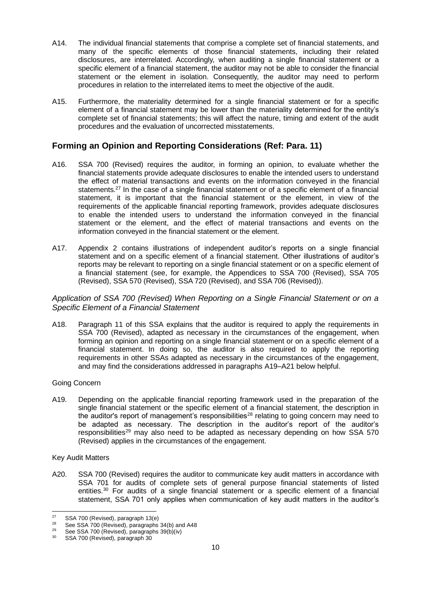- A14. The individual financial statements that comprise a complete set of financial statements, and many of the specific elements of those financial statements, including their related disclosures, are interrelated. Accordingly, when auditing a single financial statement or a specific element of a financial statement, the auditor may not be able to consider the financial statement or the element in isolation. Consequently, the auditor may need to perform procedures in relation to the interrelated items to meet the objective of the audit.
- A15. Furthermore, the materiality determined for a single financial statement or for a specific element of a financial statement may be lower than the materiality determined for the entity's complete set of financial statements; this will affect the nature, timing and extent of the audit procedures and the evaluation of uncorrected misstatements.

### **Forming an Opinion and Reporting Considerations (Ref: Para. 11)**

- A16. SSA 700 (Revised) requires the auditor, in forming an opinion, to evaluate whether the financial statements provide adequate disclosures to enable the intended users to understand the effect of material transactions and events on the information conveyed in the financial statements.<sup>27</sup> In the case of a single financial statement or of a specific element of a financial statement, it is important that the financial statement or the element, in view of the requirements of the applicable financial reporting framework, provides adequate disclosures to enable the intended users to understand the information conveyed in the financial statement or the element, and the effect of material transactions and events on the information conveyed in the financial statement or the element.
- A17. Appendix 2 contains illustrations of independent auditor's reports on a single financial statement and on a specific element of a financial statement. Other illustrations of auditor's reports may be relevant to reporting on a single financial statement or on a specific element of a financial statement (see, for example, the Appendices to SSA 700 (Revised), SSA 705 (Revised), SSA 570 (Revised), SSA 720 (Revised), and SSA 706 (Revised)).

#### *Application of SSA 700 (Revised) When Reporting on a Single Financial Statement or on a Specific Element of a Financial Statement*

A18. Paragraph 11 of this SSA explains that the auditor is required to apply the requirements in SSA 700 (Revised), adapted as necessary in the circumstances of the engagement, when forming an opinion and reporting on a single financial statement or on a specific element of a financial statement. In doing so, the auditor is also required to apply the reporting requirements in other SSAs adapted as necessary in the circumstances of the engagement, and may find the considerations addressed in paragraphs A19–A21 below helpful.

#### Going Concern

A19. Depending on the applicable financial reporting framework used in the preparation of the single financial statement or the specific element of a financial statement, the description in the auditor's report of management's responsibilities<sup>28</sup> relating to going concern may need to be adapted as necessary. The description in the auditor's report of the auditor's responsibilities<sup>29</sup> may also need to be adapted as necessary depending on how SSA 570 (Revised) applies in the circumstances of the engagement.

Key Audit Matters

A20. SSA 700 (Revised) requires the auditor to communicate key audit matters in accordance with SSA 701 for audits of complete sets of general purpose financial statements of listed entities.<sup>30</sup> For audits of a single financial statement or a specific element of a financial statement, SSA 701 only applies when communication of key audit matters in the auditor's

<sup>&</sup>lt;sup>27</sup> SSA 700 (Revised), paragraph 13(e)

<sup>&</sup>lt;sup>28</sup> See SSA 700 (Revised), paragraphs  $34(b)$  and A48

<sup>&</sup>lt;sup>29</sup> See SSA 700 (Revised), paragraphs  $39(b)(iv)$ 

<sup>30</sup> SSA 700 (Revised)*,* paragraph 30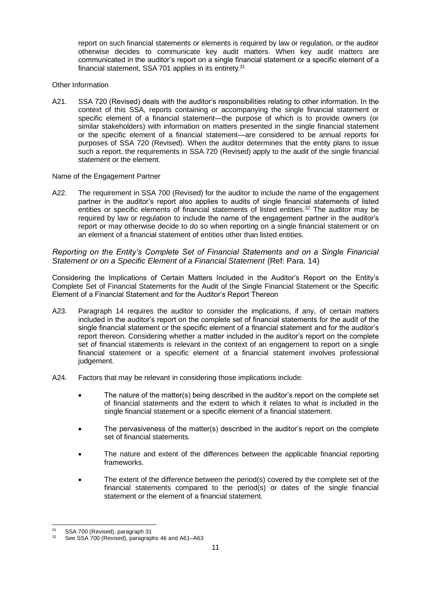report on such financial statements or elements is required by law or regulation, or the auditor otherwise decides to communicate key audit matters. When key audit matters are communicated in the auditor's report on a single financial statement or a specific element of a financial statement, SSA 701 applies in its entirety.<sup>31</sup>

#### Other Information

A21. SSA 720 (Revised) deals with the auditor's responsibilities relating to other information. In the context of this SSA, reports containing or accompanying the single financial statement or specific element of a financial statement—the purpose of which is to provide owners (or similar stakeholders) with information on matters presented in the single financial statement or the specific element of a financial statement—are considered to be annual reports for purposes of SSA 720 (Revised). When the auditor determines that the entity plans to issue such a report, the requirements in SSA 720 (Revised) apply to the audit of the single financial statement or the element.

#### Name of the Engagement Partner

A22. The requirement in SSA 700 (Revised) for the auditor to include the name of the engagement partner in the auditor's report also applies to audits of single financial statements of listed entities or specific elements of financial statements of listed entities.<sup>32</sup> The auditor may be required by law or regulation to include the name of the engagement partner in the auditor's report or may otherwise decide to do so when reporting on a single financial statement or on an element of a financial statement of entities other than listed entities.

#### *Reporting on the Entity's Complete Set of Financial Statements and on a Single Financial Statement or on a Specific Element of a Financial Statement* (Ref: Para. 14)

Considering the Implications of Certain Matters Included in the Auditor's Report on the Entity's Complete Set of Financial Statements for the Audit of the Single Financial Statement or the Specific Element of a Financial Statement and for the Auditor's Report Thereon

- A23. Paragraph 14 requires the auditor to consider the implications, if any, of certain matters included in the auditor's report on the complete set of financial statements for the audit of the single financial statement or the specific element of a financial statement and for the auditor's report thereon. Considering whether a matter included in the auditor's report on the complete set of financial statements is relevant in the context of an engagement to report on a single financial statement or a specific element of a financial statement involves professional judgement.
- A24. Factors that may be relevant in considering those implications include:
	- The nature of the matter(s) being described in the auditor's report on the complete set of financial statements and the extent to which it relates to what is included in the single financial statement or a specific element of a financial statement.
	- The pervasiveness of the matter(s) described in the auditor's report on the complete set of financial statements.
	- The nature and extent of the differences between the applicable financial reporting frameworks.
	- The extent of the difference between the period(s) covered by the complete set of the financial statements compared to the period(s) or dates of the single financial statement or the element of a financial statement.

 $31$  SSA 700 (Revised), paragraph 31

See SSA 700 (Revised), paragraphs 46 and A61–A63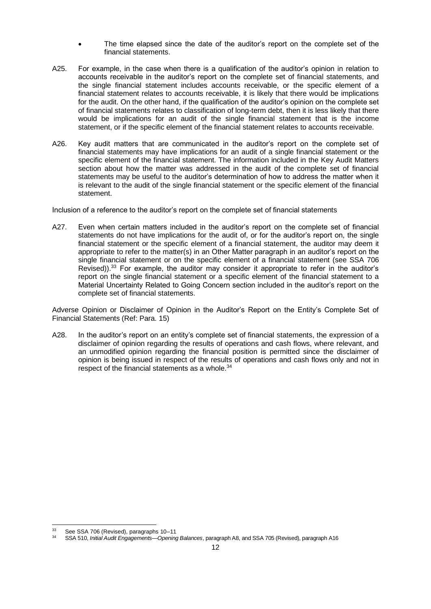- The time elapsed since the date of the auditor's report on the complete set of the financial statements.
- A25. For example, in the case when there is a qualification of the auditor's opinion in relation to accounts receivable in the auditor's report on the complete set of financial statements, and the single financial statement includes accounts receivable, or the specific element of a financial statement relates to accounts receivable, it is likely that there would be implications for the audit. On the other hand, if the qualification of the auditor's opinion on the complete set of financial statements relates to classification of long-term debt, then it is less likely that there would be implications for an audit of the single financial statement that is the income statement, or if the specific element of the financial statement relates to accounts receivable.
- A26. Key audit matters that are communicated in the auditor's report on the complete set of financial statements may have implications for an audit of a single financial statement or the specific element of the financial statement. The information included in the Key Audit Matters section about how the matter was addressed in the audit of the complete set of financial statements may be useful to the auditor's determination of how to address the matter when it is relevant to the audit of the single financial statement or the specific element of the financial statement.

Inclusion of a reference to the auditor's report on the complete set of financial statements

A27. Even when certain matters included in the auditor's report on the complete set of financial statements do not have implications for the audit of, or for the auditor's report on, the single financial statement or the specific element of a financial statement, the auditor may deem it appropriate to refer to the matter(s) in an Other Matter paragraph in an auditor's report on the single financial statement or on the specific element of a financial statement (see SSA 706 Revised)).<sup>33</sup> For example, the auditor may consider it appropriate to refer in the auditor's report on the single financial statement or a specific element of the financial statement to a Material Uncertainty Related to Going Concern section included in the auditor's report on the complete set of financial statements.

Adverse Opinion or Disclaimer of Opinion in the Auditor's Report on the Entity's Complete Set of Financial Statements (Ref: Para. 15)

A28. In the auditor's report on an entity's complete set of financial statements, the expression of a disclaimer of opinion regarding the results of operations and cash flows, where relevant, and an unmodified opinion regarding the financial position is permitted since the disclaimer of opinion is being issued in respect of the results of operations and cash flows only and not in respect of the financial statements as a whole.<sup>34</sup>

 $33$  See SSA 706 (Revised), paragraphs 10–11

<sup>34</sup> SSA 510, *Initial Audit Engagements—Opening Balances*, paragraph A8, and SSA 705 (Revised), paragraph A16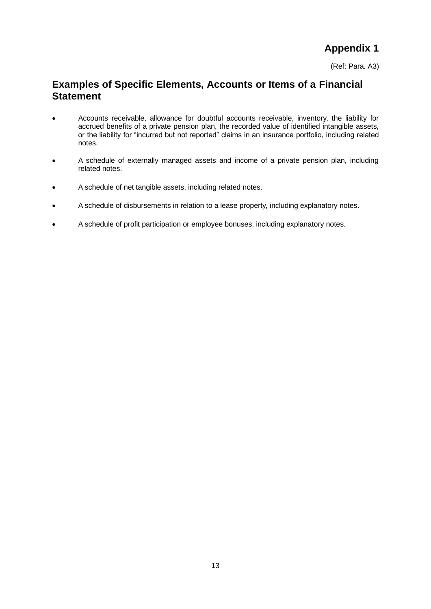# **Appendix 1**

(Ref: Para. A3)

# **Examples of Specific Elements, Accounts or Items of a Financial Statement**

- Accounts receivable, allowance for doubtful accounts receivable, inventory, the liability for accrued benefits of a private pension plan, the recorded value of identified intangible assets, or the liability for "incurred but not reported" claims in an insurance portfolio, including related notes.
- A schedule of externally managed assets and income of a private pension plan, including related notes.
- A schedule of net tangible assets, including related notes.
- A schedule of disbursements in relation to a lease property, including explanatory notes.
- A schedule of profit participation or employee bonuses, including explanatory notes.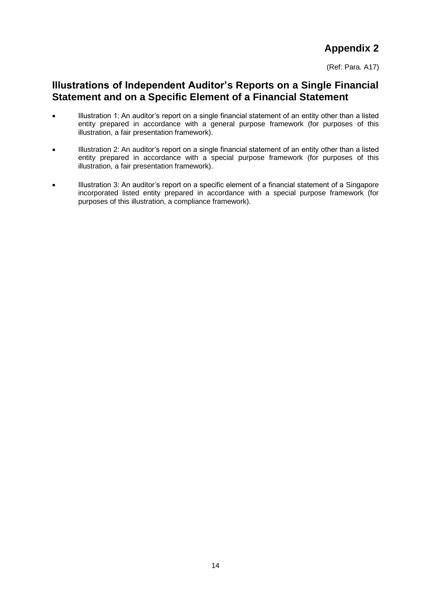# **Appendix 2**

(Ref: Para. A17)

# **Illustrations of Independent Auditor's Reports on a Single Financial Statement and on a Specific Element of a Financial Statement**

- Illustration 1: An auditor's report on a single financial statement of an entity other than a listed entity prepared in accordance with a general purpose framework (for purposes of this illustration, a fair presentation framework).
- Illustration 2: An auditor's report on a single financial statement of an entity other than a listed entity prepared in accordance with a special purpose framework (for purposes of this illustration, a fair presentation framework).
- Illustration 3: An auditor's report on a specific element of a financial statement of a Singapore incorporated listed entity prepared in accordance with a special purpose framework (for purposes of this illustration, a compliance framework).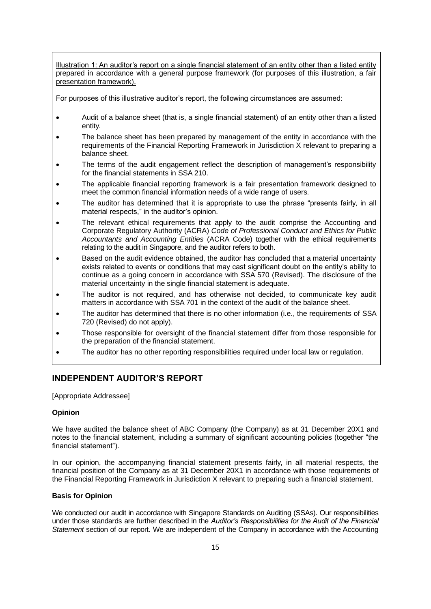Illustration 1: An auditor's report on a single financial statement of an entity other than a listed entity prepared in accordance with a general purpose framework (for purposes of this illustration, a fair presentation framework).

For purposes of this illustrative auditor's report, the following circumstances are assumed:

- Audit of a balance sheet (that is, a single financial statement) of an entity other than a listed entity.
- The balance sheet has been prepared by management of the entity in accordance with the requirements of the Financial Reporting Framework in Jurisdiction X relevant to preparing a balance sheet.
- The terms of the audit engagement reflect the description of management's responsibility for the financial statements in SSA 210.
- The applicable financial reporting framework is a fair presentation framework designed to meet the common financial information needs of a wide range of users.
- The auditor has determined that it is appropriate to use the phrase "presents fairly, in all material respects," in the auditor's opinion.
- The relevant ethical requirements that apply to the audit comprise the Accounting and Corporate Regulatory Authority (ACRA) *Code of Professional Conduct and Ethics for Public Accountants and Accounting Entities* (ACRA Code) together with the ethical requirements relating to the audit in Singapore, and the auditor refers to both.
- Based on the audit evidence obtained, the auditor has concluded that a material uncertainty exists related to events or conditions that may cast significant doubt on the entity's ability to continue as a going concern in accordance with SSA 570 (Revised). The disclosure of the material uncertainty in the single financial statement is adequate.
- The auditor is not required, and has otherwise not decided, to communicate key audit matters in accordance with SSA 701 in the context of the audit of the balance sheet.
- The auditor has determined that there is no other information (i.e., the requirements of SSA 720 (Revised) do not apply).
- Those responsible for oversight of the financial statement differ from those responsible for the preparation of the financial statement.
- The auditor has no other reporting responsibilities required under local law or regulation.

### **INDEPENDENT AUDITOR'S REPORT**

[Appropriate Addressee]

#### **Opinion**

We have audited the balance sheet of ABC Company (the Company) as at 31 December 20X1 and notes to the financial statement, including a summary of significant accounting policies (together "the financial statement").

In our opinion, the accompanying financial statement presents fairly, in all material respects, the financial position of the Company as at 31 December 20X1 in accordance with those requirements of the Financial Reporting Framework in Jurisdiction X relevant to preparing such a financial statement.

#### **Basis for Opinion**

We conducted our audit in accordance with Singapore Standards on Auditing (SSAs). Our responsibilities under those standards are further described in the *Auditor's Responsibilities for the Audit of the Financial Statement* section of our report. We are independent of the Company in accordance with the Accounting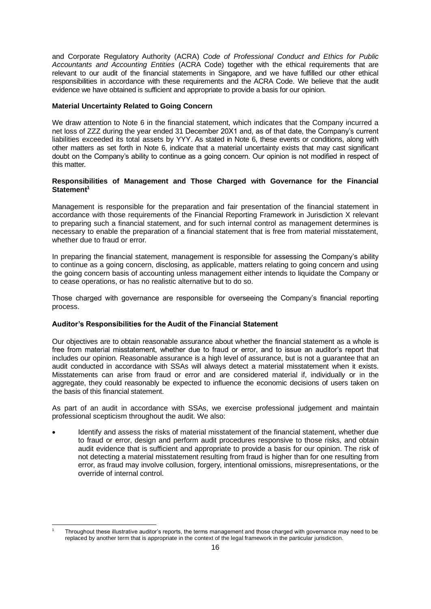and Corporate Regulatory Authority (ACRA) *Code of Professional Conduct and Ethics for Public Accountants and Accounting Entities* (ACRA Code) together with the ethical requirements that are relevant to our audit of the financial statements in Singapore, and we have fulfilled our other ethical responsibilities in accordance with these requirements and the ACRA Code. We believe that the audit evidence we have obtained is sufficient and appropriate to provide a basis for our opinion.

#### **Material Uncertainty Related to Going Concern**

We draw attention to Note 6 in the financial statement, which indicates that the Company incurred a net loss of ZZZ during the year ended 31 December 20X1 and, as of that date, the Company's current liabilities exceeded its total assets by YYY. As stated in Note 6, these events or conditions, along with other matters as set forth in Note 6, indicate that a material uncertainty exists that may cast significant doubt on the Company's ability to continue as a going concern. Our opinion is not modified in respect of this matter.

#### **Responsibilities of Management and Those Charged with Governance for the Financial Statement<sup>1</sup>**

Management is responsible for the preparation and fair presentation of the financial statement in accordance with those requirements of the Financial Reporting Framework in Jurisdiction X relevant to preparing such a financial statement, and for such internal control as management determines is necessary to enable the preparation of a financial statement that is free from material misstatement, whether due to fraud or error.

In preparing the financial statement, management is responsible for assessing the Company's ability to continue as a going concern, disclosing, as applicable, matters relating to going concern and using the going concern basis of accounting unless management either intends to liquidate the Company or to cease operations, or has no realistic alternative but to do so.

Those charged with governance are responsible for overseeing the Company's financial reporting process.

#### **Auditor's Responsibilities for the Audit of the Financial Statement**

Our objectives are to obtain reasonable assurance about whether the financial statement as a whole is free from material misstatement, whether due to fraud or error, and to issue an auditor's report that includes our opinion. Reasonable assurance is a high level of assurance, but is not a guarantee that an audit conducted in accordance with SSAs will always detect a material misstatement when it exists. Misstatements can arise from fraud or error and are considered material if, individually or in the aggregate, they could reasonably be expected to influence the economic decisions of users taken on the basis of this financial statement.

As part of an audit in accordance with SSAs, we exercise professional judgement and maintain professional scepticism throughout the audit. We also:

• Identify and assess the risks of material misstatement of the financial statement, whether due to fraud or error, design and perform audit procedures responsive to those risks, and obtain audit evidence that is sufficient and appropriate to provide a basis for our opinion. The risk of not detecting a material misstatement resulting from fraud is higher than for one resulting from error, as fraud may involve collusion, forgery, intentional omissions, misrepresentations, or the override of internal control.

<sup>1</sup> Throughout these illustrative auditor's reports, the terms management and those charged with governance may need to be replaced by another term that is appropriate in the context of the legal framework in the particular jurisdiction.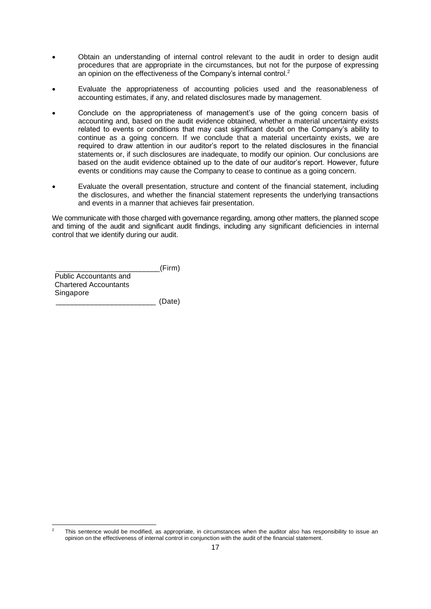- Obtain an understanding of internal control relevant to the audit in order to design audit procedures that are appropriate in the circumstances, but not for the purpose of expressing an opinion on the effectiveness of the Company's internal control.<sup>2</sup>
- Evaluate the appropriateness of accounting policies used and the reasonableness of accounting estimates, if any, and related disclosures made by management.
- Conclude on the appropriateness of management's use of the going concern basis of accounting and, based on the audit evidence obtained, whether a material uncertainty exists related to events or conditions that may cast significant doubt on the Company's ability to continue as a going concern. If we conclude that a material uncertainty exists, we are required to draw attention in our auditor's report to the related disclosures in the financial statements or, if such disclosures are inadequate, to modify our opinion. Our conclusions are based on the audit evidence obtained up to the date of our auditor's report. However, future events or conditions may cause the Company to cease to continue as a going concern.
- Evaluate the overall presentation, structure and content of the financial statement, including the disclosures, and whether the financial statement represents the underlying transactions and events in a manner that achieves fair presentation.

We communicate with those charged with governance regarding, among other matters, the planned scope and timing of the audit and significant audit findings, including any significant deficiencies in internal control that we identify during our audit.

 $(Firm)$ Public Accountants and Chartered Accountants Singapore \_\_\_\_\_\_\_\_\_\_\_\_\_\_\_\_\_\_\_\_\_\_\_\_\_ (Date)

This sentence would be modified, as appropriate, in circumstances when the auditor also has responsibility to issue an opinion on the effectiveness of internal control in conjunction with the audit of the financial statement.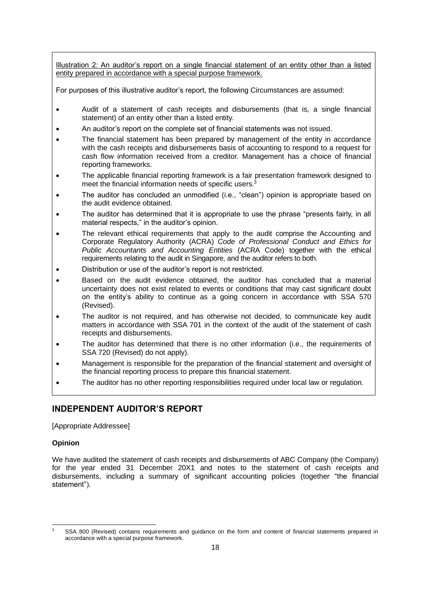Illustration 2: An auditor's report on a single financial statement of an entity other than a listed entity prepared in accordance with a special purpose framework.

For purposes of this illustrative auditor's report, the following Circumstances are assumed:

- Audit of a statement of cash receipts and disbursements (that is, a single financial statement) of an entity other than a listed entity.
- An auditor's report on the complete set of financial statements was not issued.
- The financial statement has been prepared by management of the entity in accordance with the cash receipts and disbursements basis of accounting to respond to a request for cash flow information received from a creditor. Management has a choice of financial reporting frameworks.
- The applicable financial reporting framework is a fair presentation framework designed to meet the financial information needs of specific users.<sup>3</sup>
- The auditor has concluded an unmodified (i.e., "clean") opinion is appropriate based on the audit evidence obtained.
- The auditor has determined that it is appropriate to use the phrase "presents fairly, in all material respects," in the auditor's opinion.
- The relevant ethical requirements that apply to the audit comprise the Accounting and Corporate Regulatory Authority (ACRA) *Code of Professional Conduct and Ethics for Public Accountants and Accounting Entities* (ACRA Code) together with the ethical requirements relating to the audit in Singapore, and the auditor refers to both.
- Distribution or use of the auditor's report is not restricted.
- Based on the audit evidence obtained, the auditor has concluded that a material uncertainty does not exist related to events or conditions that may cast significant doubt on the entity's ability to continue as a going concern in accordance with SSA 570 (Revised).
- The auditor is not required, and has otherwise not decided, to communicate key audit matters in accordance with SSA 701 in the context of the audit of the statement of cash receipts and disbursements.
- The auditor has determined that there is no other information (i.e., the requirements of SSA 720 (Revised) do not apply).
- Management is responsible for the preparation of the financial statement and oversight of the financial reporting process to prepare this financial statement.
- The auditor has no other reporting responsibilities required under local law or regulation.

### **INDEPENDENT AUDITOR'S REPORT**

[Appropriate Addressee]

#### **Opinion**

We have audited the statement of cash receipts and disbursements of ABC Company (the Company) for the year ended 31 December 20X1 and notes to the statement of cash receipts and disbursements, including a summary of significant accounting policies (together "the financial statement").

<sup>3</sup> SSA 800 (Revised) contains requirements and guidance on the form and content of financial statements prepared in accordance with a special purpose framework.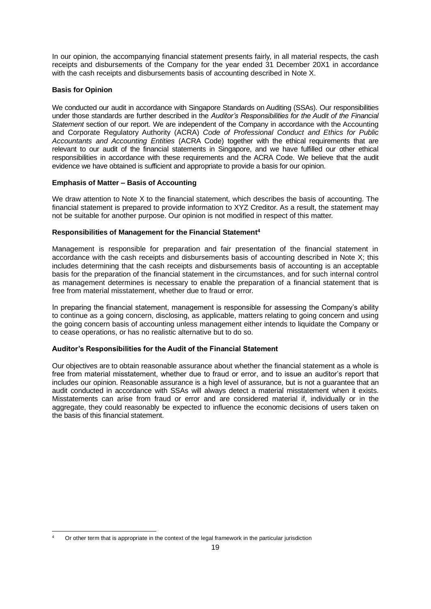In our opinion, the accompanying financial statement presents fairly, in all material respects, the cash receipts and disbursements of the Company for the year ended 31 December 20X1 in accordance with the cash receipts and disbursements basis of accounting described in Note X.

#### **Basis for Opinion**

We conducted our audit in accordance with Singapore Standards on Auditing (SSAs). Our responsibilities under those standards are further described in the *Auditor's Responsibilities for the Audit of the Financial Statement* section of our report. We are independent of the Company in accordance with the Accounting and Corporate Regulatory Authority (ACRA) *Code of Professional Conduct and Ethics for Public Accountants and Accounting Entities* (ACRA Code) together with the ethical requirements that are relevant to our audit of the financial statements in Singapore, and we have fulfilled our other ethical responsibilities in accordance with these requirements and the ACRA Code. We believe that the audit evidence we have obtained is sufficient and appropriate to provide a basis for our opinion.

#### **Emphasis of Matter – Basis of Accounting**

We draw attention to Note X to the financial statement, which describes the basis of accounting. The financial statement is prepared to provide information to XYZ Creditor. As a result, the statement may not be suitable for another purpose. Our opinion is not modified in respect of this matter.

#### **Responsibilities of Management for the Financial Statement<sup>4</sup>**

Management is responsible for preparation and fair presentation of the financial statement in accordance with the cash receipts and disbursements basis of accounting described in Note X; this includes determining that the cash receipts and disbursements basis of accounting is an acceptable basis for the preparation of the financial statement in the circumstances, and for such internal control as management determines is necessary to enable the preparation of a financial statement that is free from material misstatement, whether due to fraud or error.

In preparing the financial statement, management is responsible for assessing the Company's ability to continue as a going concern, disclosing, as applicable, matters relating to going concern and using the going concern basis of accounting unless management either intends to liquidate the Company or to cease operations, or has no realistic alternative but to do so.

#### **Auditor's Responsibilities for the Audit of the Financial Statement**

Our objectives are to obtain reasonable assurance about whether the financial statement as a whole is free from material misstatement, whether due to fraud or error, and to issue an auditor's report that includes our opinion. Reasonable assurance is a high level of assurance, but is not a guarantee that an audit conducted in accordance with SSAs will always detect a material misstatement when it exists. Misstatements can arise from fraud or error and are considered material if, individually or in the aggregate, they could reasonably be expected to influence the economic decisions of users taken on the basis of this financial statement.

<sup>4</sup> Or other term that is appropriate in the context of the legal framework in the particular jurisdiction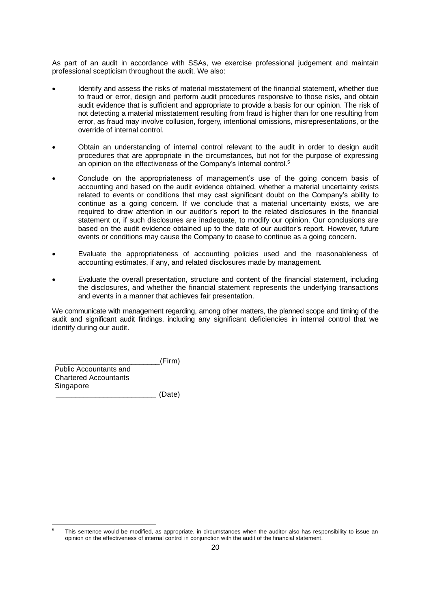As part of an audit in accordance with SSAs, we exercise professional judgement and maintain professional scepticism throughout the audit. We also:

- Identify and assess the risks of material misstatement of the financial statement, whether due to fraud or error, design and perform audit procedures responsive to those risks, and obtain audit evidence that is sufficient and appropriate to provide a basis for our opinion. The risk of not detecting a material misstatement resulting from fraud is higher than for one resulting from error, as fraud may involve collusion, forgery, intentional omissions, misrepresentations, or the override of internal control.
- Obtain an understanding of internal control relevant to the audit in order to design audit procedures that are appropriate in the circumstances, but not for the purpose of expressing an opinion on the effectiveness of the Company's internal control.<sup>5</sup>
- Conclude on the appropriateness of management's use of the going concern basis of accounting and based on the audit evidence obtained, whether a material uncertainty exists related to events or conditions that may cast significant doubt on the Company's ability to continue as a going concern. If we conclude that a material uncertainty exists, we are required to draw attention in our auditor's report to the related disclosures in the financial statement or, if such disclosures are inadequate, to modify our opinion. Our conclusions are based on the audit evidence obtained up to the date of our auditor's report. However, future events or conditions may cause the Company to cease to continue as a going concern.
- Evaluate the appropriateness of accounting policies used and the reasonableness of accounting estimates, if any, and related disclosures made by management.
- Evaluate the overall presentation, structure and content of the financial statement, including the disclosures, and whether the financial statement represents the underlying transactions and events in a manner that achieves fair presentation.

We communicate with management regarding, among other matters, the planned scope and timing of the audit and significant audit findings, including any significant deficiencies in internal control that we identify during our audit.

 $(Firm)$ Public Accountants and Chartered Accountants Singapore

\_\_\_\_\_\_\_\_\_\_\_\_\_\_\_\_\_\_\_\_\_\_\_\_\_ (Date)

This sentence would be modified, as appropriate, in circumstances when the auditor also has responsibility to issue an opinion on the effectiveness of internal control in conjunction with the audit of the financial statement.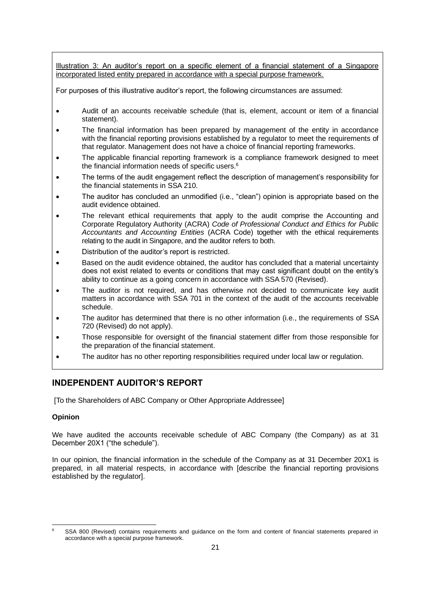Illustration 3: An auditor's report on a specific element of a financial statement of a Singapore incorporated listed entity prepared in accordance with a special purpose framework.

For purposes of this illustrative auditor's report, the following circumstances are assumed:

- Audit of an accounts receivable schedule (that is, element, account or item of a financial statement).
- The financial information has been prepared by management of the entity in accordance with the financial reporting provisions established by a regulator to meet the requirements of that regulator. Management does not have a choice of financial reporting frameworks.
- The applicable financial reporting framework is a compliance framework designed to meet the financial information needs of specific users.<sup>6</sup>
- The terms of the audit engagement reflect the description of management's responsibility for the financial statements in SSA 210.
- The auditor has concluded an unmodified (i.e., "clean") opinion is appropriate based on the audit evidence obtained.
- The relevant ethical requirements that apply to the audit comprise the Accounting and Corporate Regulatory Authority (ACRA) *Code of Professional Conduct and Ethics for Public Accountants and Accounting Entities* (ACRA Code) together with the ethical requirements relating to the audit in Singapore, and the auditor refers to both.
- Distribution of the auditor's report is restricted.
- Based on the audit evidence obtained, the auditor has concluded that a material uncertainty does not exist related to events or conditions that may cast significant doubt on the entity's ability to continue as a going concern in accordance with SSA 570 (Revised).
- The auditor is not required, and has otherwise not decided to communicate key audit matters in accordance with SSA 701 in the context of the audit of the accounts receivable schedule.
- The auditor has determined that there is no other information (i.e., the requirements of SSA 720 (Revised) do not apply).
- Those responsible for oversight of the financial statement differ from those responsible for the preparation of the financial statement.
- The auditor has no other reporting responsibilities required under local law or regulation.

### **INDEPENDENT AUDITOR'S REPORT**

[To the Shareholders of ABC Company or Other Appropriate Addressee]

#### **Opinion**

We have audited the accounts receivable schedule of ABC Company (the Company) as at 31 December 20X1 ("the schedule").

In our opinion, the financial information in the schedule of the Company as at 31 December 20X1 is prepared, in all material respects, in accordance with [describe the financial reporting provisions established by the regulator].

<sup>6</sup> SSA 800 (Revised) contains requirements and guidance on the form and content of financial statements prepared in accordance with a special purpose framework.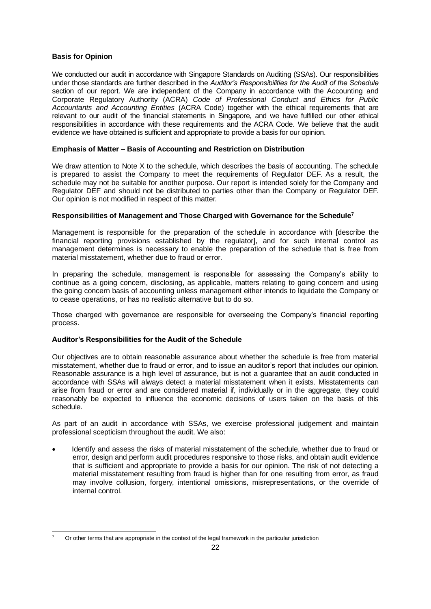#### **Basis for Opinion**

We conducted our audit in accordance with Singapore Standards on Auditing (SSAs). Our responsibilities under those standards are further described in the *Auditor's Responsibilities for the Audit of the Schedule* section of our report. We are independent of the Company in accordance with the Accounting and Corporate Regulatory Authority (ACRA) *Code of Professional Conduct and Ethics for Public Accountants and Accounting Entities* (ACRA Code) together with the ethical requirements that are relevant to our audit of the financial statements in Singapore, and we have fulfilled our other ethical responsibilities in accordance with these requirements and the ACRA Code. We believe that the audit evidence we have obtained is sufficient and appropriate to provide a basis for our opinion.

#### **Emphasis of Matter – Basis of Accounting and Restriction on Distribution**

We draw attention to Note X to the schedule, which describes the basis of accounting. The schedule is prepared to assist the Company to meet the requirements of Regulator DEF. As a result, the schedule may not be suitable for another purpose. Our report is intended solely for the Company and Regulator DEF and should not be distributed to parties other than the Company or Regulator DEF. Our opinion is not modified in respect of this matter.

#### **Responsibilities of Management and Those Charged with Governance for the Schedule<sup>7</sup>**

Management is responsible for the preparation of the schedule in accordance with [describe the financial reporting provisions established by the regulator], and for such internal control as management determines is necessary to enable the preparation of the schedule that is free from material misstatement, whether due to fraud or error.

In preparing the schedule, management is responsible for assessing the Company's ability to continue as a going concern, disclosing, as applicable, matters relating to going concern and using the going concern basis of accounting unless management either intends to liquidate the Company or to cease operations, or has no realistic alternative but to do so.

Those charged with governance are responsible for overseeing the Company's financial reporting process.

#### **Auditor's Responsibilities for the Audit of the Schedule**

Our objectives are to obtain reasonable assurance about whether the schedule is free from material misstatement, whether due to fraud or error, and to issue an auditor's report that includes our opinion. Reasonable assurance is a high level of assurance, but is not a guarantee that an audit conducted in accordance with SSAs will always detect a material misstatement when it exists. Misstatements can arise from fraud or error and are considered material if, individually or in the aggregate, they could reasonably be expected to influence the economic decisions of users taken on the basis of this schedule.

As part of an audit in accordance with SSAs, we exercise professional judgement and maintain professional scepticism throughout the audit. We also:

• Identify and assess the risks of material misstatement of the schedule, whether due to fraud or error, design and perform audit procedures responsive to those risks, and obtain audit evidence that is sufficient and appropriate to provide a basis for our opinion. The risk of not detecting a material misstatement resulting from fraud is higher than for one resulting from error, as fraud may involve collusion, forgery, intentional omissions, misrepresentations, or the override of internal control.

<sup>7</sup> Or other terms that are appropriate in the context of the legal framework in the particular jurisdiction